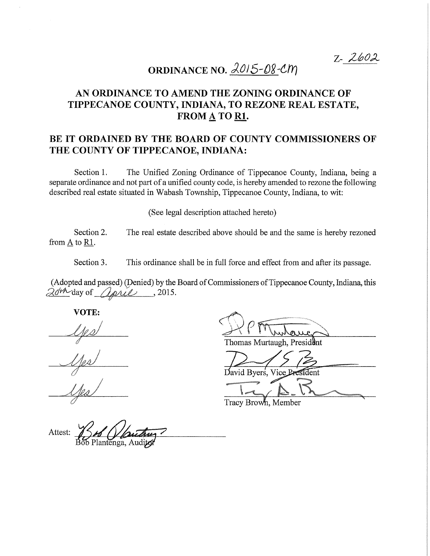Z- *;llo02* 

# ORDINANCE NO.  $2015-08$ -CM

# AN ORDINANCE TO AMEND THE ZONING ORDINANCE OF TIPPECANOE COUNTY, INDIANA, TO REZONE REAL ESTATE, FROM A TO R1.

# BE IT ORDAINED BY THE BOARD OF COUNTY COMMISSIONERS OF THE COUNTY OF TIPPECANOE, INDIANA:

Section 1. The Unified Zoning Ordinance of Tippecanoe County, Indiana, being a separate ordinance and not part of a unified county code, is hereby amended to rezone the following described real estate situated in Wabash Township, Tippecanoe County, Indiana, to wit:

(See legal description attached hereto)

Section 2. from A to RI. The real estate described above should be and the same is hereby rezoned

Section 3. This ordinance shall be in full force and effect from and after its passage.

(Adopted and passed) (Denied) by the Board of Commissioners of Tippecanoe County, Indiana, this  $\partial \theta^{\gamma}$ day of  $\partial \rho$ ril, 2015.

VOTE:

Thomas Murtaugh, President

David Byers, Vice President

Tracy Brown, Member

Attest: 134 Maitre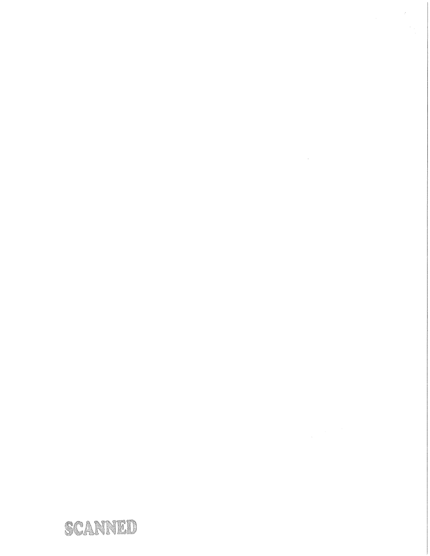# SCANNED

 $\label{eq:2.1} \frac{1}{\sqrt{2}}\int_{\mathbb{R}^3}\frac{1}{\sqrt{2}}\left(\frac{1}{\sqrt{2}}\right)^2\frac{1}{\sqrt{2}}\left(\frac{1}{\sqrt{2}}\right)^2\frac{1}{\sqrt{2}}\left(\frac{1}{\sqrt{2}}\right)^2\frac{1}{\sqrt{2}}\left(\frac{1}{\sqrt{2}}\right)^2.$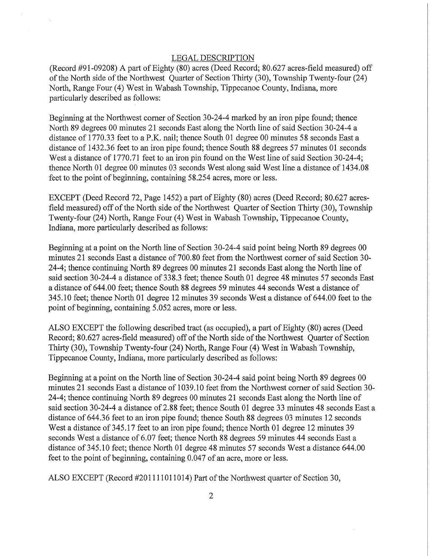#### LEGAL DESCRIPTION

(Record #91-09208) A part of Eighty (80) acres (Deed Record; 80.627 acres-field measured) off of the North side of the Northwest Quarter of Section Thirty (30), Township Twenty-four (24) North, Range Four (4) West in Wabash Township, Tippecanoe County, Indiana, more particularly described as follows:

Beginning at the Northwest corner of Section 30-24-4 marked by an iron pipe found; thence North 89 degrees 00 minutes 21 seconds East along the North line of said Section 30-24-4 a distance of 1770.33 feet to a P.K. nail; thence South 01 degree 00 minutes 58 seconds East a distance of 1432.36 feet to an iron pipe found; thence South 88 degrees 57 minutes 01 seconds West a distance of 1770.71 feet to an iron pin found on the West line of said Section 30-24-4; thence North 01 degree 00 minutes 03 seconds West along said West line a distance of 1434.08 feet to the point of beginning, containing 58.254 acres, more or less.

EXCEPT (Deed Record 72, Page 1452) a part of Eighty (80) acres (Deed Record; 80.627 acresfield measured) off of the North side of the Northwest Quarter of Section Thirty (30), Township Twenty-four (24) North, Range Four (4) West in Wabash Township, Tippecanoe County, Indiana, more particularly described as follows:

Beginning at a point on the North line of Section 30-24-4 said point being North 89 degrees 00 minutes 21 seconds East a distance of 700.80 feet from the Northwest corner of said Section 30- 24-4; thence continuing North 89 degrees 00 minutes 21 seconds East along the North line of said section 30-24-4 a distance of 338.3 feet; thence South 01 degree 48 minutes 57 seconds East a distance of 644.00 feet; thence South 88 degrees 59 minutes 44 seconds West a distance of 345.10 feet; thence North 01 degree 12 minutes 39 seconds West a distance of 644.00 feet to the point of beginning, containing 5.052 acres, more or less.

ALSO EXCEPT the following described tract (as occupied), a part of Eighty (80) acres (Deed Record; 80.627 acres-field measured) off of the North side of the Northwest Quarter of Section Thirty (30), Township Twenty-four (24) North, Range Four (4) West in Wabash Township, Tippecanoe County, Indiana, more particularly described as follows:

Beginning at a point on the North line of Section 30-24-4 said point being North 89 degrees 00 minutes 21 seconds East a distance of 1039.10 feet from the Northwest corner of said Section 30-24-4; thence continuing North 89 degrees 00 minutes 21 seconds East along the North line of said section 30-24-4 a distance of 2.88 feet; thence South 01 degree 33 minutes 48 seconds East a distance of 644.36 feet to an iron pipe found; thence South 88 degrees 03 minutes 12 seconds West a distance of 345.17 feet to an iron pipe found; thence North 01 degree 12 minutes 39 seconds West a distance of 6.07 feet; thence North 88 degrees 59 minutes 44 seconds East a distance of 345.10 feet; thence North 01 degree 48 minutes 57 seconds West a distance 644.00 feet to the point of beginning, containing 0.047 of an acre, more or less.

ALSO EXCEPT (Record #201111011014) Part of the Northwest quarter of Section 30,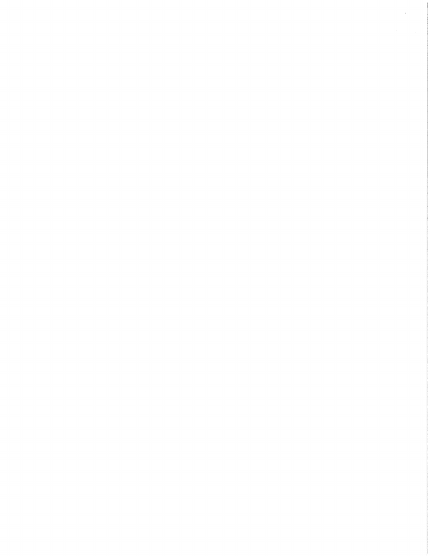$\label{eq:2} \frac{1}{2} \int_{0}^{2\pi} \frac{1}{2} \, \mathrm{d} \mu \, \mathrm{d} \mu \, \mathrm{d} \mu \, \mathrm{d} \mu \, \mathrm{d} \mu \, \mathrm{d} \mu \, \mathrm{d} \mu \, \mathrm{d} \mu \, \mathrm{d} \mu \, \mathrm{d} \mu \, \mathrm{d} \mu \, \mathrm{d} \mu \, \mathrm{d} \mu \, \mathrm{d} \mu \, \mathrm{d} \mu \, \mathrm{d} \mu \, \mathrm{d} \mu \, \mathrm{d} \mu \, \mathrm{d} \mu \, \mathrm{d} \mu \, \mathrm{d} \mu$  $\label{eq:2.1} \frac{1}{\sqrt{2}}\int_{\mathbb{R}^3}\frac{1}{\sqrt{2}}\left(\frac{1}{\sqrt{2}}\right)^2\frac{1}{\sqrt{2}}\left(\frac{1}{\sqrt{2}}\right)^2\frac{1}{\sqrt{2}}\left(\frac{1}{\sqrt{2}}\right)^2\frac{1}{\sqrt{2}}\left(\frac{1}{\sqrt{2}}\right)^2.$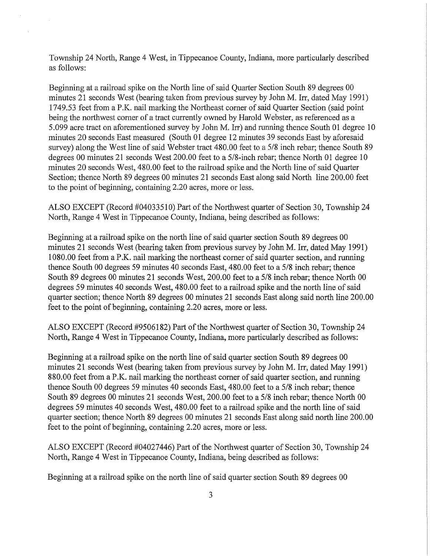Township 24 North, Range 4 West, in Tippecanoe County, Indiana, more particularly described as follows:

Beginning at a railroad spike on the North line of said Quarter Section South 89 degrees 00 minutes 21 seconds West (bearing taken from previous survey by John M. Irr, dated May 1991) 1749.53 feet from a P.K. nail marking the Northeast corner of said Quarter Section (said point being the northwest corner of a tract currently owned by Harold Webster, as referenced as a 5.099 acre tract on aforementioned survey by John M. Irr) and running thence South 01 degree 10 minutes 20 seconds East measured (South 01 degree 12 minutes 39 seconds East by aforesaid survey) along the West line of said Webster tract 480.00 feet to a 5/8 inch rebar; thence South 89 degrees 00 minutes 21 seconds West 200.00 feet to a 5/8-inch rebar; thence North 01 degree 10 minutes 20 seconds West, 480.00 feet to the railroad spike and the North line of said Quarter Section; thence North 89 degrees 00 minutes 21 seconds East along said North line 200.00 feet to the point of beginning, containing 2.20 acres, more or less.

ALSO EXCEPT (Record #04033510) Part of the Northwest quarter of Section 30, Township 24 North, Range 4 West in Tippecanoe County, Indiana, being described as follows:

Beginning at a railroad spike on the north line of said quarter section South 89 degrees 00 minutes 21 seconds West (bearing taken from previous survey by John M. Irr, dated May 1991) 1080 .00 feet from a P .K. nail marking the northeast corner of said quarter section, and running thence South 00 degrees 59 minutes 40 seconds East, 480.00 feet to a 5/8 inch rebar; thence South 89 degrees 00 minutes 21 seconds West, 200.00 feet to a 5/8 inch rebar; thence North 00 degrees 59 minutes 40 seconds West, 480.00 feet to a railroad spike and the north line of said quarter section; thence North 89 degrees 00 minutes 21 seconds East along said north line 200.00 feet to the point of beginning, containing 2.20 acres, more or less.

ALSO EXCEPT (Record #9506182) Part of the Northwest quarter of Section 30, Township 24 North, Range 4 West in Tippecanoe County, Indiana, more particularly described as follows:

Beginning at a railroad spike on the north line of said quarter section South 89 degrees 00 minutes 21 seconds West (bearing taken from previous survey by John M. Irr, dated May 1991) 880.00 feet from a P.K. nail marking the northeast corner of said quarter section, and running thence South 00 degrees 59 minutes 40 seconds East, 480.00 feet to a 5/8 inch rebar; thence South 89 degrees 00 minutes 21 seconds West, 200.00 feet to a 5/8 inch rebar; thence North 00 degrees 59 minutes 40 seconds West, 480.00 feet to a railroad spike and the north line of said quarter section; thence North 89 degrees 00 minutes 21 seconds East along said north line 200.00 feet to the point of beginning, containing 2.20 acres, more or less.

ALSO EXCEPT (Record #04027446) Part of the Northwest quarter of Section 30, Township 24 North, Range 4 West in Tippecanoe County, Indiana, being described as follows:

Beginning at a railroad spike on the north line of said quarter section South 89 degrees 00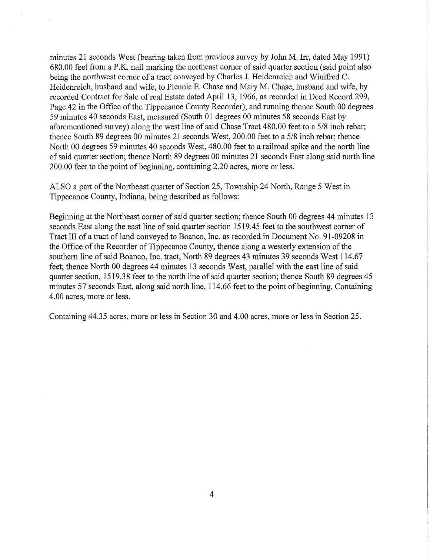minutes 21 seconds West (bearing taken from previous survey by John M. Irr, dated May 1991) 680.00 feet from a P.K. nail marking the northeast corner of said quarter section (said point also being the northwest corner of a tract conveyed by Charles J. Heidenreich and Winifred C. Heidenreich, husband and wife, to Plennie E. Chase and Mary M. Chase, husband and wife, by recorded Contract for Sale of real Estate dated April 13, 1966, as recorded in Deed Record 299, Page 42 in the Office of the Tippecanoe County Recorder), and running thence South 00 degrees 59 minutes 40 seconds East, measured (South 01 degrees 00 minutes 58 seconds East by aforementioned survey) along the west line of said Chase Tract 480.00 feet to a 5/8 inch rebar; thence South 89 degrees 00 minutes 21 seconds West, 200.00 feet to a 5/8 inch rebar; thence North 00 degrees 59 minutes 40 seconds West, 480.00 feet to a railroad spike and the north line of said quarter section; thence North 89 degrees 00 minutes 21 seconds East along said north line 200.00 feet to the point of beginning, containing 2.20 acres, more or less.

ALSO a part of the Northeast quarter of Section 25, Township 24 North, Range 5 West in Tippecanoe County, Indiana, being described as follows:

Beginning at the Northeast corner of said quarter section; thence South 00 degrees 44 minutes 13 seconds East along the east line of said quarter section 1519 .45 feet to the southwest corner of Tract III of a tract of land conveyed to Boanco, Inc. as recorded in Document No. 91-09208 in the Office of the Recorder of Tippecanoe County, thence along a westerly extension of the southern line of said Boanco, Inc. tract, North 89 degrees 43 minutes 39 seconds West 114.67 feet; thence North 00 degrees 44 minutes 13 seconds West, parallel with the east line of said quarter section, 1519.38 feet to the north line of said quarter section; thence South 89 degrees 45 minutes 57 seconds East, along said north line, 114.66 feet to the point of beginning. Containing 4.00 acres, more or less.

Containing 44.35 acres, more or less in Section 30 and 4.00 acres, more or less in Section 25.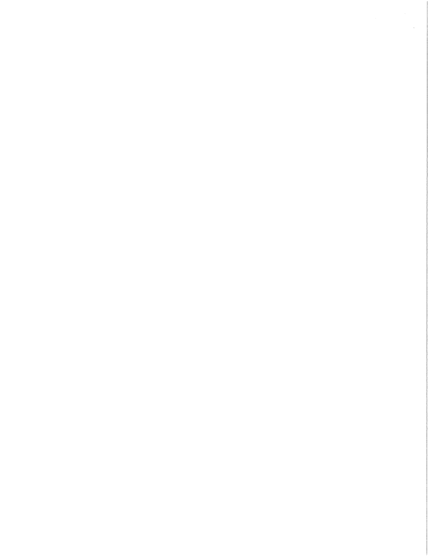$\mathcal{A}^{\pm}$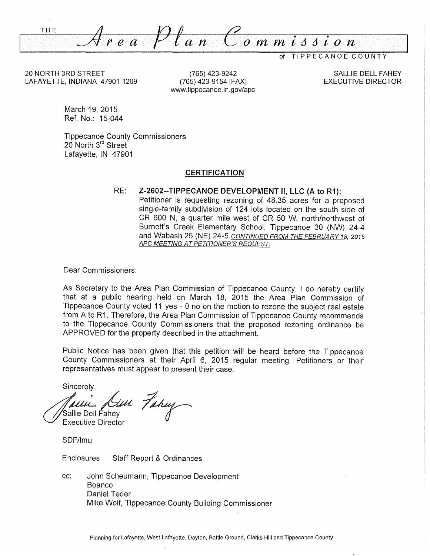<sup>THE</sup> Area Plan Commission

of T I P P E C A N 0 E C 0 U N T Y

20 NORTH 3RD STREET LAFAYETTE, INDIANA 47901-1209

(765) 423-9242 (765) 423-9154 [FAX] www.tippecanoe.in.gov/apc

SALLIE DELL FAHEY EXECUTIVE DIRECTOR

March 19, 2015 Ref. No.: 15-044

Tippecanoe County Commissioners 20 North 3<sup>rd</sup> Street Lafayette, IN 47901

#### **CERTIFICATION**

RE: **Z-2602--TIPPECANOE DEVELOPMENT II, LLC (A to R1):**  Petitioner is requesting rezoning of 48.35 acres for a proposed single-family subdivision of 124 lots located on the south side of CR 600 N, a quarter mile west of CR 50 W, north/northwest of Burnett's Creek Elementary School, Tippecanoe 30 (NW) 24-4 and Wabash 25 (NE) 24-5.CONTINUED FROM THE FEBRUARY 18 2015 APC MEETING AT PETITIONER'S REQUEST.

Dear Commissioners:

As Secretary to the Area Plan Commission of Tippecanoe County, I do hereby certify that at a public hearing held on March 18, 2015 the Area Plan Commission of Tippecanoe County voted 11 yes - 0 no on the motion to rezone the subject real estate from A to R1. Therefore, the Area Plan Commission of Tippecanoe County recommends to the Tippecanoe County Commissioners that the proposed rezoning ordinance be APPROVED for the property described in the attachment.

Public Notice has been given that this petition will be heard before the Tippecanoe County Commissioners at their April 6, 2015 regular meeting. Petitioners or their representatives must appear to present their case.

Sincerely,

Touis Dur Farm ie Dell Fa hey *0* 

Executive Director

SDF/lmu

Enclosures: Staff Report & Ordinances

cc: John Scheumann, Tippecanoe Development **Boanco** Daniel Teder Mike Wolf, Tippecanoe County Building Commissioner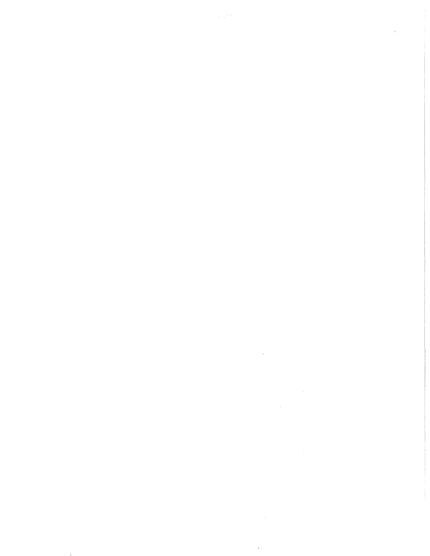$\label{eq:2.1} \frac{1}{\sqrt{2}}\int_{\mathbb{R}^3}\frac{1}{\sqrt{2}}\left(\frac{1}{\sqrt{2}}\right)^2\left(\frac{1}{\sqrt{2}}\right)^2\left(\frac{1}{\sqrt{2}}\right)^2\left(\frac{1}{\sqrt{2}}\right)^2\left(\frac{1}{\sqrt{2}}\right)^2\left(\frac{1}{\sqrt{2}}\right)^2\left(\frac{1}{\sqrt{2}}\right)^2.$ 

 $\label{eq:2.1} \frac{1}{\sqrt{2}}\left(\frac{1}{\sqrt{2}}\right)^{2} \left(\frac{1}{\sqrt{2}}\right)^{2} \left(\frac{1}{\sqrt{2}}\right)^{2} \left(\frac{1}{\sqrt{2}}\right)^{2} \left(\frac{1}{\sqrt{2}}\right)^{2} \left(\frac{1}{\sqrt{2}}\right)^{2} \left(\frac{1}{\sqrt{2}}\right)^{2} \left(\frac{1}{\sqrt{2}}\right)^{2} \left(\frac{1}{\sqrt{2}}\right)^{2} \left(\frac{1}{\sqrt{2}}\right)^{2} \left(\frac{1}{\sqrt{2}}\right)^{2} \left(\$ 

 $\sim$ 

 $\frac{1}{2}$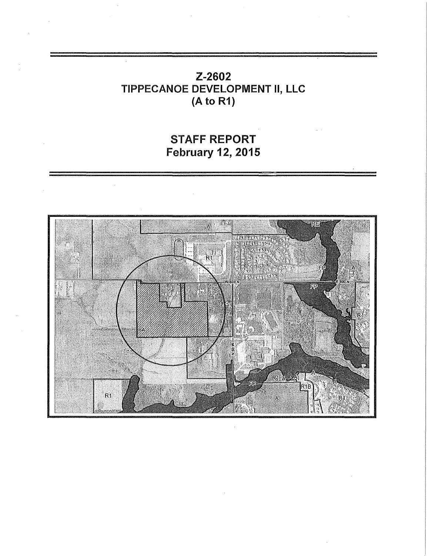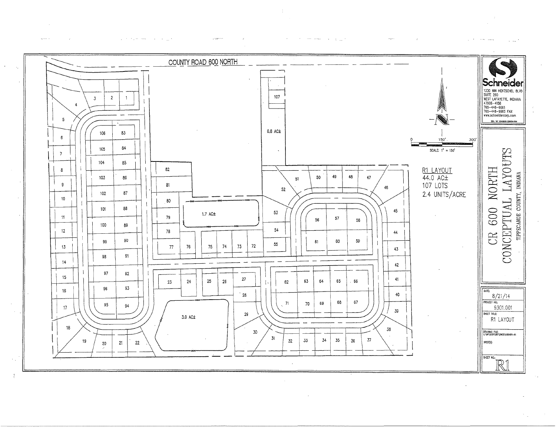

عبيدا المراوات الحارة

 $\frac{4}{3}$ 

 $\mathcal{A}$  $\sim$   $\sim$ 

**Contractor**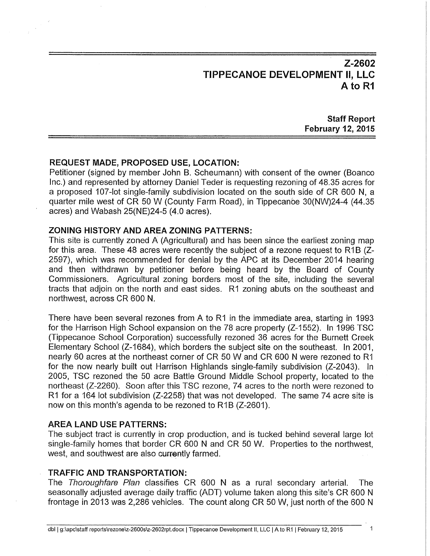# Z-2602 TIPPECANOE DEVELOPMENT 11, LLC A to R1

Staff Report February 12, 2015

# REQUEST MADE, PROPOSED USE, LOCATION:

Petitioner (signed by member John B. Scheumann) with consent of the owner (Boanco Inc.) and represented by attorney Daniel Teder is requesting rezoning of 48.35 acres for a proposed 107-lot single-family subdivision located on the south side of CR 600 N, a quarter mile west of CR 50 W (County Farm Road), in Tippecanoe 30(NW)24-4 (44.35 acres) and Wabash 25(NE)24-5 (4.0 acres).

# ZONING HISTORY AND AREA ZONING PATTERNS:

This site is currently zoned A (Agricultural) and has been since the earliest zoning map for this area. These 48 acres were recently the subject of a rezone request to R1B (Z-2597), which was recommended for denial by the APC at its December 2014 hearing and then withdrawn by petitioner before being heard by the Board of County Commissioners. Agricultural zoning borders most of the site, including the several tracts that adjoin on the north and east sides. R1 zoning abuts on the southeast and northwest, across CR 600 N.

There have been several rezones from A to R1 in the immediate area, starting in 1993 for the Harrison High School expansion on the 78 acre property (Z-1552). In 1996 TSC (Tippecanoe School Corporation) successfully rezoned 36 acres for the Burnett Creek Elementary School (Z-1684), which borders the subject site on the southeast. In 2001, nearly 60 acres at the northeast corner of CR 50 Wand CR 600 N were rezoned to R1 for the now nearly built out Harrison Highlands single-family subdivision (Z-2043). In 2005, TSC rezoned the 50 acre Battle Ground Middle School property, located to the northeast (Z-2260). Soon after this TSC rezone, 74 acres to the north were rezoned to R1 for a 164 lot subdivision (Z-2258) that was not developed. The same 74 acre site is now on this month's agenda to be rezoned to R1B (Z-2601).

#### AREA LAND USE PATTERNS:

The subject tract is currently in crop production, and is tucked behind several large lot single-family homes that border CR 600 N and CR 50 W. Properties to the northwest, west, and southwest are also currently farmed.

# TRAFFIC AND TRANSPORTATION:

The Thoroughfare Plan classifies CR 600 N as a rural secondary arterial. The seasonally adjusted average daily traffic (ADT) volume taken along this site's CR 600 N frontage in 2013 was 2,286 vehicles. The count along CR 50 W, just north of the 600 N